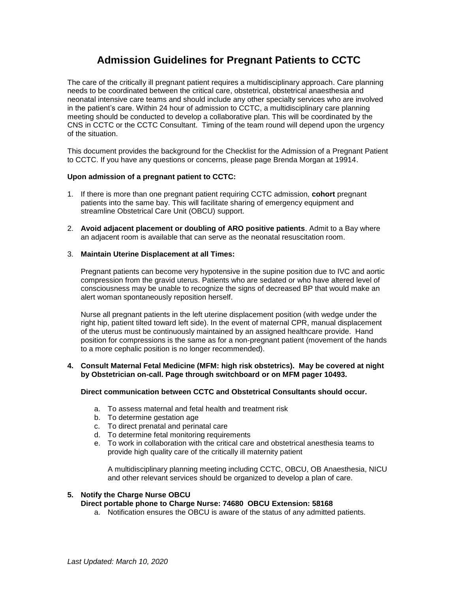# **Admission Guidelines for Pregnant Patients to CCTC**

The care of the critically ill pregnant patient requires a multidisciplinary approach. Care planning needs to be coordinated between the critical care, obstetrical, obstetrical anaesthesia and neonatal intensive care teams and should include any other specialty services who are involved in the patient's care. Within 24 hour of admission to CCTC, a multidisciplinary care planning meeting should be conducted to develop a collaborative plan. This will be coordinated by the CNS in CCTC or the CCTC Consultant. Timing of the team round will depend upon the urgency of the situation.

This document provides the background for the Checklist for the Admission of a Pregnant Patient to CCTC. If you have any questions or concerns, please page Brenda Morgan at 19914.

## **Upon admission of a pregnant patient to CCTC:**

- 1. If there is more than one pregnant patient requiring CCTC admission, **cohort** pregnant patients into the same bay. This will facilitate sharing of emergency equipment and streamline Obstetrical Care Unit (OBCU) support.
- 2. **Avoid adjacent placement or doubling of ARO positive patients**. Admit to a Bay where an adjacent room is available that can serve as the neonatal resuscitation room.

## 3. **Maintain Uterine Displacement at all Times:**

Pregnant patients can become very hypotensive in the supine position due to IVC and aortic compression from the gravid uterus. Patients who are sedated or who have altered level of consciousness may be unable to recognize the signs of decreased BP that would make an alert woman spontaneously reposition herself.

Nurse all pregnant patients in the left uterine displacement position (with wedge under the right hip, patient tilted toward left side). In the event of maternal CPR, manual displacement of the uterus must be continuously maintained by an assigned healthcare provide. Hand position for compressions is the same as for a non-pregnant patient (movement of the hands to a more cephalic position is no longer recommended).

# **4. Consult Maternal Fetal Medicine (MFM: high risk obstetrics). May be covered at night by Obstetrician on-call. Page through switchboard or on MFM pager 10493.**

# **Direct communication between CCTC and Obstetrical Consultants should occur.**

- a. To assess maternal and fetal health and treatment risk
- b. To determine gestation age
- c. To direct prenatal and perinatal care
- d. To determine fetal monitoring requirements
- e. To work in collaboration with the critical care and obstetrical anesthesia teams to provide high quality care of the critically ill maternity patient

A multidisciplinary planning meeting including CCTC, OBCU, OB Anaesthesia, NICU and other relevant services should be organized to develop a plan of care.

## **5. Notify the Charge Nurse OBCU**

# **Direct portable phone to Charge Nurse: 74680 OBCU Extension: 58168**

a. Notification ensures the OBCU is aware of the status of any admitted patients.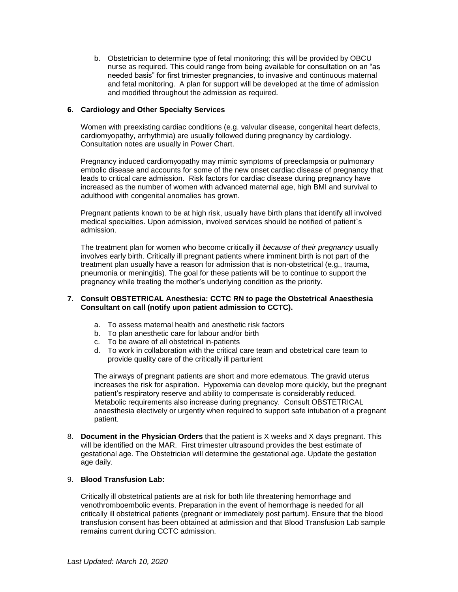b. Obstetrician to determine type of fetal monitoring; this will be provided by OBCU nurse as required. This could range from being available for consultation on an "as needed basis" for first trimester pregnancies, to invasive and continuous maternal and fetal monitoring. A plan for support will be developed at the time of admission and modified throughout the admission as required.

## **6. Cardiology and Other Specialty Services**

Women with preexisting cardiac conditions (e.g. valvular disease, congenital heart defects, cardiomyopathy, arrhythmia) are usually followed during pregnancy by cardiology. Consultation notes are usually in Power Chart.

Pregnancy induced cardiomyopathy may mimic symptoms of preeclampsia or pulmonary embolic disease and accounts for some of the new onset cardiac disease of pregnancy that leads to critical care admission. Risk factors for cardiac disease during pregnancy have increased as the number of women with advanced maternal age, high BMI and survival to adulthood with congenital anomalies has grown.

Pregnant patients known to be at high risk, usually have birth plans that identify all involved medical specialties. Upon admission, involved services should be notified of patient`s admission.

The treatment plan for women who become critically ill *because of their pregnancy* usually involves early birth. Critically ill pregnant patients where imminent birth is not part of the treatment plan usually have a reason for admission that is non-obstetrical (e.g., trauma, pneumonia or meningitis). The goal for these patients will be to continue to support the pregnancy while treating the mother's underlying condition as the priority.

## **7. Consult OBSTETRICAL Anesthesia: CCTC RN to page the Obstetrical Anaesthesia Consultant on call (notify upon patient admission to CCTC).**

- a. To assess maternal health and anesthetic risk factors
- b. To plan anesthetic care for labour and/or birth
- c. To be aware of all obstetrical in-patients
- d. To work in collaboration with the critical care team and obstetrical care team to provide quality care of the critically ill parturient

The airways of pregnant patients are short and more edematous. The gravid uterus increases the risk for aspiration. Hypoxemia can develop more quickly, but the pregnant patient's respiratory reserve and ability to compensate is considerably reduced. Metabolic requirements also increase during pregnancy. Consult OBSTETRICAL anaesthesia electively or urgently when required to support safe intubation of a pregnant patient.

8. **Document in the Physician Orders** that the patient is X weeks and X days pregnant. This will be identified on the MAR. First trimester ultrasound provides the best estimate of gestational age. The Obstetrician will determine the gestational age. Update the gestation age daily.

# 9. **Blood Transfusion Lab:**

Critically ill obstetrical patients are at risk for both life threatening hemorrhage and venothromboembolic events. Preparation in the event of hemorrhage is needed for all critically ill obstetrical patients (pregnant or immediately post partum). Ensure that the blood transfusion consent has been obtained at admission and that Blood Transfusion Lab sample remains current during CCTC admission.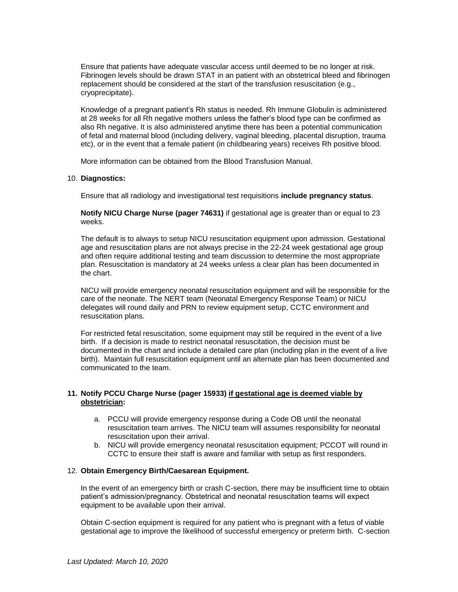Ensure that patients have adequate vascular access until deemed to be no longer at risk. Fibrinogen levels should be drawn STAT in an patient with an obstetrical bleed and fibrinogen replacement should be considered at the start of the transfusion resuscitation (e.g., cryoprecipitate).

Knowledge of a pregnant patient's Rh status is needed. Rh Immune Globulin is administered at 28 weeks for all Rh negative mothers unless the father's blood type can be confirmed as also Rh negative. It is also administered anytime there has been a potential communication of fetal and maternal blood (including delivery, vaginal bleeding, placental disruption, trauma etc), or in the event that a female patient (in childbearing years) receives Rh positive blood.

More information can be obtained from the Blood Transfusion Manual.

## 10. **Diagnostics:**

Ensure that all radiology and investigational test requisitions **include pregnancy status**.

**Notify NICU Charge Nurse (pager 74631)** if gestational age is greater than or equal to 23 weeks.

The default is to always to setup NICU resuscitation equipment upon admission. Gestational age and resuscitation plans are not always precise in the 22-24 week gestational age group and often require additional testing and team discussion to determine the most appropriate plan. Resuscitation is mandatory at 24 weeks unless a clear plan has been documented in the chart.

NICU will provide emergency neonatal resuscitation equipment and will be responsible for the care of the neonate. The NERT team (Neonatal Emergency Response Team) or NICU delegates will round daily and PRN to review equipment setup, CCTC environment and resuscitation plans.

For restricted fetal resuscitation, some equipment may still be required in the event of a live birth. If a decision is made to restrict neonatal resuscitation, the decision must be documented in the chart and include a detailed care plan (including plan in the event of a live birth). Maintain full resuscitation equipment until an alternate plan has been documented and communicated to the team.

# **11. Notify PCCU Charge Nurse (pager 15933) if gestational age is deemed viable by obstetrician:**

- a. PCCU will provide emergency response during a Code OB until the neonatal resuscitation team arrives. The NICU team will assumes responsibility for neonatal resuscitation upon their arrival.
- b. NICU will provide emergency neonatal resuscitation equipment; PCCOT will round in CCTC to ensure their staff is aware and familiar with setup as first responders.

## 12. **Obtain Emergency Birth/Caesarean Equipment.**

In the event of an emergency birth or crash C-section, there may be insufficient time to obtain patient's admission/pregnancy. Obstetrical and neonatal resuscitation teams will expect equipment to be available upon their arrival.

Obtain C-section equipment is required for any patient who is pregnant with a fetus of viable gestational age to improve the likelihood of successful emergency or preterm birth. C-section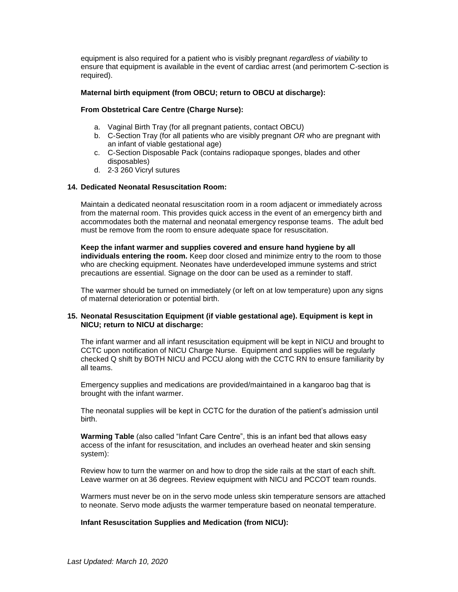equipment is also required for a patient who is visibly pregnant *regardless of viability* to ensure that equipment is available in the event of cardiac arrest (and perimortem C-section is required).

## **Maternal birth equipment (from OBCU; return to OBCU at discharge):**

## **From Obstetrical Care Centre (Charge Nurse):**

- a. Vaginal Birth Tray (for all pregnant patients, contact OBCU)
- b. C-Section Tray (for all patients who are visibly pregnant *OR* who are pregnant with an infant of viable gestational age)
- c. C-Section Disposable Pack (contains radiopaque sponges, blades and other disposables)
- d. 2-3 260 Vicryl sutures

# **14. Dedicated Neonatal Resuscitation Room:**

Maintain a dedicated neonatal resuscitation room in a room adjacent or immediately across from the maternal room. This provides quick access in the event of an emergency birth and accommodates both the maternal and neonatal emergency response teams. The adult bed must be remove from the room to ensure adequate space for resuscitation.

**Keep the infant warmer and supplies covered and ensure hand hygiene by all individuals entering the room.** Keep door closed and minimize entry to the room to those who are checking equipment. Neonates have underdeveloped immune systems and strict precautions are essential. Signage on the door can be used as a reminder to staff.

The warmer should be turned on immediately (or left on at low temperature) upon any signs of maternal deterioration or potential birth.

# **15. Neonatal Resuscitation Equipment (if viable gestational age). Equipment is kept in NICU; return to NICU at discharge:**

The infant warmer and all infant resuscitation equipment will be kept in NICU and brought to CCTC upon notification of NICU Charge Nurse. Equipment and supplies will be regularly checked Q shift by BOTH NICU and PCCU along with the CCTC RN to ensure familiarity by all teams.

Emergency supplies and medications are provided/maintained in a kangaroo bag that is brought with the infant warmer.

The neonatal supplies will be kept in CCTC for the duration of the patient's admission until birth.

**Warming Table** (also called "Infant Care Centre", this is an infant bed that allows easy access of the infant for resuscitation, and includes an overhead heater and skin sensing system):

Review how to turn the warmer on and how to drop the side rails at the start of each shift. Leave warmer on at 36 degrees. Review equipment with NICU and PCCOT team rounds.

Warmers must never be on in the servo mode unless skin temperature sensors are attached to neonate. Servo mode adjusts the warmer temperature based on neonatal temperature.

## **Infant Resuscitation Supplies and Medication (from NICU):**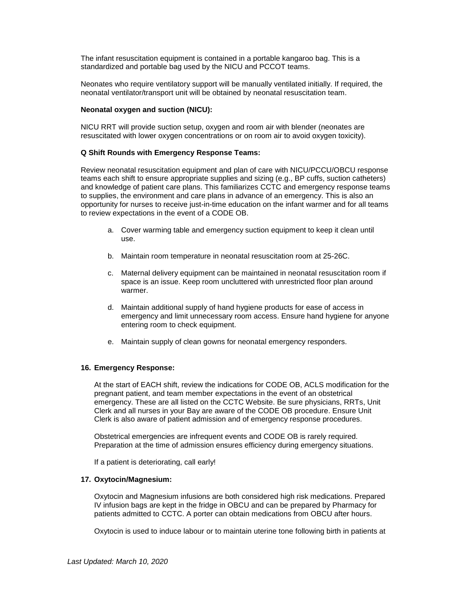The infant resuscitation equipment is contained in a portable kangaroo bag. This is a standardized and portable bag used by the NICU and PCCOT teams.

Neonates who require ventilatory support will be manually ventilated initially. If required, the neonatal ventilator/transport unit will be obtained by neonatal resuscitation team.

#### **Neonatal oxygen and suction (NICU):**

NICU RRT will provide suction setup, oxygen and room air with blender (neonates are resuscitated with lower oxygen concentrations or on room air to avoid oxygen toxicity).

#### **Q Shift Rounds with Emergency Response Teams:**

Review neonatal resuscitation equipment and plan of care with NICU/PCCU/OBCU response teams each shift to ensure appropriate supplies and sizing (e.g., BP cuffs, suction catheters) and knowledge of patient care plans. This familiarizes CCTC and emergency response teams to supplies, the environment and care plans in advance of an emergency. This is also an opportunity for nurses to receive just-in-time education on the infant warmer and for all teams to review expectations in the event of a CODE OB.

- a. Cover warming table and emergency suction equipment to keep it clean until use.
- b. Maintain room temperature in neonatal resuscitation room at 25-26C.
- c. Maternal delivery equipment can be maintained in neonatal resuscitation room if space is an issue. Keep room uncluttered with unrestricted floor plan around warmer.
- d. Maintain additional supply of hand hygiene products for ease of access in emergency and limit unnecessary room access. Ensure hand hygiene for anyone entering room to check equipment.
- e. Maintain supply of clean gowns for neonatal emergency responders.

#### **16. Emergency Response:**

At the start of EACH shift, review the indications for CODE OB, ACLS modification for the pregnant patient, and team member expectations in the event of an obstetrical emergency. These are all listed on the CCTC Website. Be sure physicians, RRTs, Unit Clerk and all nurses in your Bay are aware of the CODE OB procedure. Ensure Unit Clerk is also aware of patient admission and of emergency response procedures.

Obstetrical emergencies are infrequent events and CODE OB is rarely required. Preparation at the time of admission ensures efficiency during emergency situations.

If a patient is deteriorating, call early!

#### **17. Oxytocin/Magnesium:**

Oxytocin and Magnesium infusions are both considered high risk medications. Prepared IV infusion bags are kept in the fridge in OBCU and can be prepared by Pharmacy for patients admitted to CCTC. A porter can obtain medications from OBCU after hours.

Oxytocin is used to induce labour or to maintain uterine tone following birth in patients at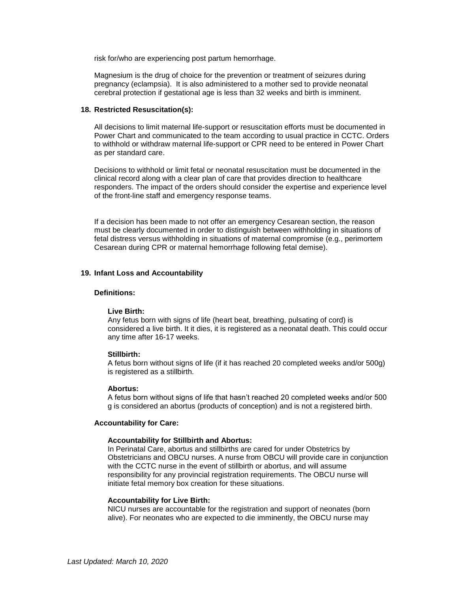risk for/who are experiencing post partum hemorrhage.

Magnesium is the drug of choice for the prevention or treatment of seizures during pregnancy (eclampsia). It is also administered to a mother sed to provide neonatal cerebral protection if gestational age is less than 32 weeks and birth is imminent.

#### **18. Restricted Resuscitation(s):**

All decisions to limit maternal life-support or resuscitation efforts must be documented in Power Chart and communicated to the team according to usual practice in CCTC. Orders to withhold or withdraw maternal life-support or CPR need to be entered in Power Chart as per standard care.

Decisions to withhold or limit fetal or neonatal resuscitation must be documented in the clinical record along with a clear plan of care that provides direction to healthcare responders. The impact of the orders should consider the expertise and experience level of the front-line staff and emergency response teams.

If a decision has been made to not offer an emergency Cesarean section, the reason must be clearly documented in order to distinguish between withholding in situations of fetal distress versus withholding in situations of maternal compromise (e.g., perimortem Cesarean during CPR or maternal hemorrhage following fetal demise).

#### **19. Infant Loss and Accountability**

#### **Definitions:**

#### **Live Birth:**

Any fetus born with signs of life (heart beat, breathing, pulsating of cord) is considered a live birth. It it dies, it is registered as a neonatal death. This could occur any time after 16-17 weeks.

#### **Stillbirth:**

A fetus born without signs of life (if it has reached 20 completed weeks and/or 500g) is registered as a stillbirth.

#### **Abortus:**

A fetus born without signs of life that hasn't reached 20 completed weeks and/or 500 g is considered an abortus (products of conception) and is not a registered birth.

#### **Accountability for Care:**

#### **Accountability for Stillbirth and Abortus:**

In Perinatal Care, abortus and stillbirths are cared for under Obstetrics by Obstetricians and OBCU nurses. A nurse from OBCU will provide care in conjunction with the CCTC nurse in the event of stillbirth or abortus, and will assume responsibility for any provincial registration requirements. The OBCU nurse will initiate fetal memory box creation for these situations.

#### **Accountability for Live Birth:**

NICU nurses are accountable for the registration and support of neonates (born alive). For neonates who are expected to die imminently, the OBCU nurse may